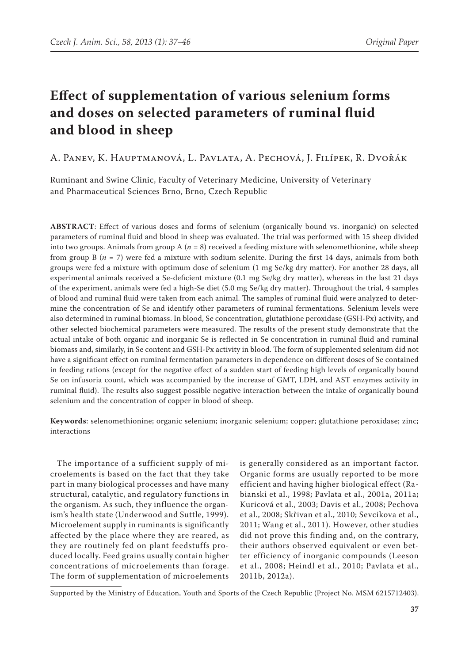# **Effect of supplementation of various selenium forms and doses on selected parameters of ruminal fluid and blood in sheep**

A. Panev, K. Hauptmanová, L. Pavlata, A. Pechová, J. Filípek, R. Dvořák

Ruminant and Swine Clinic, Faculty of Veterinary Medicine, University of Veterinary and Pharmaceutical Sciences Brno, Brno, Czech Republic

**ABSTRACT**: Effect of various doses and forms of selenium (organically bound vs. inorganic) on selected parameters of ruminal fluid and blood in sheep was evaluated. The trial was performed with 15 sheep divided into two groups. Animals from group A (*n* = 8) received a feeding mixture with selenomethionine, while sheep from group B (*n* = 7) were fed a mixture with sodium selenite. During the first 14 days, animals from both groups were fed a mixture with optimum dose of selenium (1 mg Se/kg dry matter). For another 28 days, all experimental animals received a Se-deficient mixture (0.1 mg Se/kg dry matter), whereas in the last 21 days of the experiment, animals were fed a high-Se diet (5.0 mg Se/kg dry matter). Throughout the trial, 4 samples of blood and ruminal fluid were taken from each animal. The samples of ruminal fluid were analyzed to determine the concentration of Se and identify other parameters of ruminal fermentations. Selenium levels were also determined in ruminal biomass. In blood, Se concentration, glutathione peroxidase (GSH-Px) activity, and other selected biochemical parameters were measured. The results of the present study demonstrate that the actual intake of both organic and inorganic Se is reflected in Se concentration in ruminal fluid and ruminal biomass and, similarly, in Se content and GSH-Px activity in blood. The form of supplemented selenium did not have a significant effect on ruminal fermentation parameters in dependence on different doses of Se contained in feeding rations (except for the negative effect of a sudden start of feeding high levels of organically bound Se on infusoria count, which was accompanied by the increase of GMT, LDH, and AST enzymes activity in ruminal fluid). The results also suggest possible negative interaction between the intake of organically bound selenium and the concentration of copper in blood of sheep.

**Keywords**: selenomethionine; organic selenium; inorganic selenium; copper; glutathione peroxidase; zinc; interactions

The importance of a sufficient supply of microelements is based on the fact that they take part in many biological processes and have many structural, catalytic, and regulatory functions in the organism. As such, they influence the organism's health state (Underwood and Suttle, 1999). Microelement supply in ruminants is significantly affected by the place where they are reared, as they are routinely fed on plant feedstuffs produced locally. Feed grains usually contain higher concentrations of microelements than forage. The form of supplementation of microelements

is generally considered as an important factor. Organic forms are usually reported to be more efficient and having higher biological effect (Rabianski et al., 1998; Pavlata et al., 2001a, 2011a; Kuricová et al., 2003; Davis et al., 2008; Pechova et al., 2008; Skřivan et al., 2010; Sevcikova et al., 2011; Wang et al., 2011). However, other studies did not prove this finding and, on the contrary, their authors observed equivalent or even better efficiency of inorganic compounds (Leeson et al., 2008; Heindl et al., 2010; Pavlata et al., 2011b, 2012a).

Supported by the Ministry of Education, Youth and Sports of the Czech Republic (Project No. MSM 6215712403).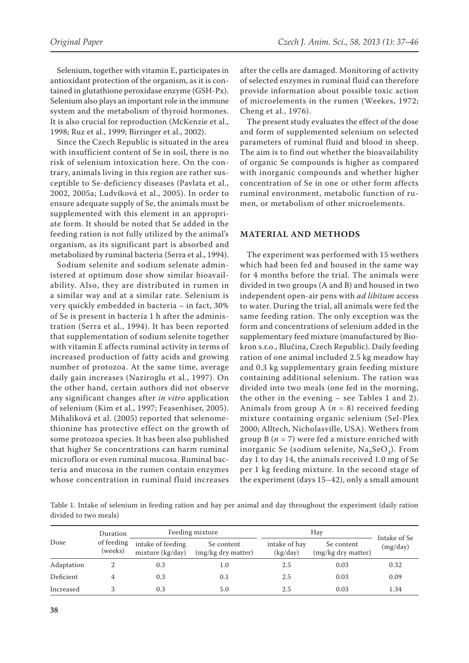Selenium, together with vitamin E, participates in antioxidant protection of the organism, as it is contained in glutathione peroxidase enzyme (GSH-Px). Selenium also plays an important role in the immune system and the metabolism of thyroid hormones. It is also crucial for reproduction (McKenzie et al., 1998; Ruz et al., 1999; Birringer et al., 2002).

Since the Czech Republic is situated in the area with insufficient content of Se in soil, there is no risk of selenium intoxication here. On the contrary, animals living in this region are rather susceptible to Se-deficiency diseases (Pavlata et al., 2002, 2005a; Ludvíková et al., 2005). In order to ensure adequate supply of Se, the animals must be supplemented with this element in an appropriate form. It should be noted that Se added in the feeding ration is not fully utilized by the animal's organism, as its significant part is absorbed and metabolized by ruminal bacteria (Serra et al., 1994).

Sodium selenite and sodium selenate administered at optimum dose show similar bioavailability. Also, they are distributed in rumen in a similar way and at a similar rate. Selenium is very quickly embedded in bacteria – in fact, 30% of Se is present in bacteria 1 h after the administration (Serra et al., 1994). It has been reported that supplementation of sodium selenite together with vitamin E affects ruminal activity in terms of increased production of fatty acids and growing number of protozoa. At the same time, average daily gain increases (Naziroglu et al., 1997). On the other hand, certain authors did not observe any significant changes after *in vitro* application of selenium (Kim et al., 1997; Feasenhiser, 2005). Mihaliková et al. (2005) reported that selenomethionine has protective effect on the growth of some protozoa species. It has been also published that higher Se concentrations can harm ruminal microflora or even ruminal mucosa. Ruminal bacteria and mucosa in the rumen contain enzymes whose concentration in ruminal fluid increases

after the cells are damaged. Monitoring of activity of selected enzymes in ruminal fluid can therefore provide information about possible toxic action of microelements in the rumen (Weekes, 1972; Cheng et al., 1976).

The present study evaluates the effect of the dose and form of supplemented selenium on selected parameters of ruminal fluid and blood in sheep. The aim is to find out whether the bioavailability of organic Se compounds is higher as compared with inorganic compounds and whether higher concentration of Se in one or other form affects ruminal environment, metabolic function of rumen, or metabolism of other microelements.

## **MATERIAL AND METHODS**

The experiment was performed with 15 wethers which had been fed and housed in the same way for 4 months before the trial. The animals were divided in two groups (A and B) and housed in two independent open-air pens with *ad libitum* access to water. During the trial, all animals were fed the same feeding ration. The only exception was the form and concentrations of selenium added in the supplementary feed mixture (manufactured by Biokron s.r.o., Blučina, Czech Republic). Daily feeding ration of one animal included 2.5 kg meadow hay and 0.3 kg supplementary grain feeding mixture containing additional selenium. The ration was divided into two meals (one fed in the morning, the other in the evening – see Tables 1 and 2). Animals from group A (*n* = 8) received feeding mixture containing organic selenium (Sel-Plex 2000; Alltech, Nicholasville, USA). Wethers from group B (*n* = 7) were fed a mixture enriched with inorganic Se (sodium selenite,  $Na<sub>2</sub>SeO<sub>3</sub>$ ). From day 1 to day 14, the animals received 1.0 mg of Se per 1 kg feeding mixture. In the second stage of the experiment (days 15–42), only a small amount

Table 1. Intake of selenium in feeding ration and hay per animal and day throughout the experiment (daily ration divided to two meals)

| Dose       | Duration<br>of feeding<br>(weeks) | Feeding mixture                         |                                  | Hay                       |                                  |                          |
|------------|-----------------------------------|-----------------------------------------|----------------------------------|---------------------------|----------------------------------|--------------------------|
|            |                                   | intake of feeding<br>mixture $(kg/day)$ | Se content<br>(mg/kg dry matter) | intake of hay<br>(kg/day) | Se content<br>(mg/kg dry matter) | Intake of Se<br>(mg/day) |
| Adaptation |                                   | 0.3                                     | 1.0                              | 2.5                       | 0.03                             | 0.32                     |
| Deficient  | 4                                 | 0.3                                     | 0.1                              | 2.5                       | 0.03                             | 0.09                     |
| Increased  |                                   | 0.3                                     | 5.0                              | 2.5                       | 0.03                             | 1.34                     |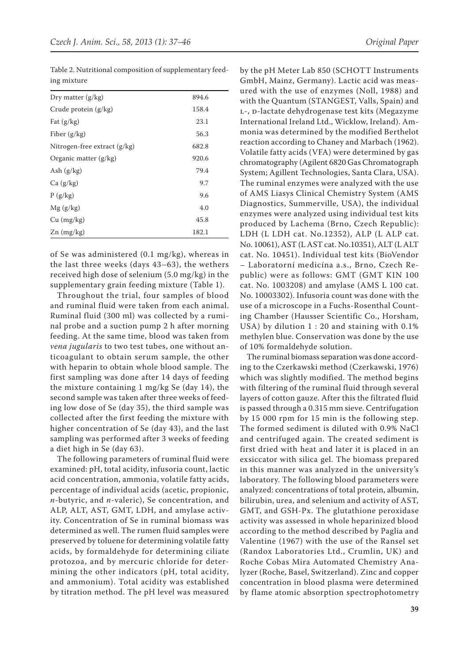Table 2. Nutritional composition of supplementary feeding mixture

| 894.6<br>Dry matter $(g/kg)$<br>158.4<br>Crude protein $(g/kg)$<br>Fat $(g/kg)$<br>23.1<br>Fiber $(g/kg)$<br>56.3<br>Nitrogen-free extract (g/kg)<br>682.8<br>920.6<br>Organic matter (g/kg)<br>79.4<br>Ash $(g/kg)$<br>9.7<br>Ca (g/kg)<br>P(g/kg)<br>9.6<br>4.0<br>Mg(g/kg)<br>45.8<br>$Cu$ (mg/kg)<br>$Zn$ (mg/kg)<br>182.1 |  |  |
|--------------------------------------------------------------------------------------------------------------------------------------------------------------------------------------------------------------------------------------------------------------------------------------------------------------------------------|--|--|
|                                                                                                                                                                                                                                                                                                                                |  |  |
|                                                                                                                                                                                                                                                                                                                                |  |  |
|                                                                                                                                                                                                                                                                                                                                |  |  |
|                                                                                                                                                                                                                                                                                                                                |  |  |
|                                                                                                                                                                                                                                                                                                                                |  |  |
|                                                                                                                                                                                                                                                                                                                                |  |  |
|                                                                                                                                                                                                                                                                                                                                |  |  |
|                                                                                                                                                                                                                                                                                                                                |  |  |
|                                                                                                                                                                                                                                                                                                                                |  |  |
|                                                                                                                                                                                                                                                                                                                                |  |  |
|                                                                                                                                                                                                                                                                                                                                |  |  |
|                                                                                                                                                                                                                                                                                                                                |  |  |

of Se was administered (0.1 mg/kg), whereas in the last three weeks (days 43–63), the wethers received high dose of selenium (5.0 mg/kg) in the supplementary grain feeding mixture (Table 1).

Throughout the trial, four samples of blood and ruminal fluid were taken from each animal. Ruminal fluid (300 ml) was collected by a ruminal probe and a suction pump 2 h after morning feeding. At the same time, blood was taken from *vena jugularis* to two test tubes, one without anticoagulant to obtain serum sample, the other with heparin to obtain whole blood sample. The first sampling was done after 14 days of feeding the mixture containing 1 mg/kg Se (day 14), the second sample was taken after three weeks of feeding low dose of Se (day 35), the third sample was collected after the first feeding the mixture with higher concentration of Se (day 43), and the last sampling was performed after 3 weeks of feeding a diet high in Se (day 63).

The following parameters of ruminal fluid were examined: pH, total acidity, infusoria count, lactic acid concentration, ammonia, volatile fatty acids, percentage of individual acids (acetic, propionic, *n*-butyric, and *n*-valeric), Se concentration, and ALP, ALT, AST, GMT, LDH, and amylase activity. Concentration of Se in ruminal biomass was determined as well. The rumen fluid samples were preserved by toluene for determining volatile fatty acids, by formaldehyde for determining ciliate protozoa, and by mercuric chloride for determining the other indicators (pH, total acidity, and ammonium). Total acidity was established by titration method. The pH level was measured

by the pH Meter Lab 850 (SCHOTT Instruments GmbH, Mainz, Germany). Lactic acid was measured with the use of enzymes (Noll, 1988) and with the Quantum (STANGEST, Valls, Spain) and L-, D-lactate dehydrogenase test kits (Megazyme International Ireland Ltd., Wicklow, Ireland). Ammonia was determined by the modified Berthelot reaction according to Chaney and Marbach (1962). Volatile fatty acids (VFA) were determined by gas chromatography (Agilent 6820 Gas Chromatograph System; Agillent Technologies, Santa Clara, USA). The ruminal enzymes were analyzed with the use of AMS Liasys Clinical Chemistry System (AMS Diagnostics, Summerville, USA), the individual enzymes were analyzed using individual test kits produced by Lachema (Brno, Czech Republic): LDH (L LDH cat. No.12352), ALP (L ALP cat. No. 10061), AST (L AST cat. No.10351), ALT (L ALT cat. No. 10451). Individual test kits (BioVendor – Laboratorní medicína a.s., Brno, Czech Republic) were as follows: GMT (GMT KIN 100 cat. No. 1003208) and amylase (AMS L 100 cat. No. 10003302). Infusoria count was done with the use of a microscope in a Fuchs-Rosenthal Counting Chamber (Hausser Scientific Co., Horsham, USA) by dilution 1 : 20 and staining with 0.1% methylen blue. Conservation was done by the use of 10% formaldehyde solution.

The ruminal biomass separation was done according to the Czerkawski method (Czerkawski, 1976) which was slightly modified. The method begins with filtering of the ruminal fluid through several layers of cotton gauze. After this the filtrated fluid is passed through a 0.315 mm sieve. Centrifugation by 15 000 rpm for 15 min is the following step. The formed sediment is diluted with 0.9% NaCl and centrifuged again. The created sediment is first dried with heat and later it is placed in an exsiccator with silica gel. The biomass prepared in this manner was analyzed in the university's laboratory. The following blood parameters were analyzed: concentrations of total protein, albumin, bilirubin, urea, and selenium and activity of AST, GMT, and GSH-Px. The glutathione peroxidase activity was assessed in whole heparinized blood according to the method described by Paglia and Valentine (1967) with the use of the Ransel set (Randox Laboratories Ltd., Crumlin, UK) and Roche Cobas Mira Automated Chemistry Analyzer (Roche, Basel, Switzerland). Zinc and copper concentration in blood plasma were determined by flame atomic absorption spectrophotometry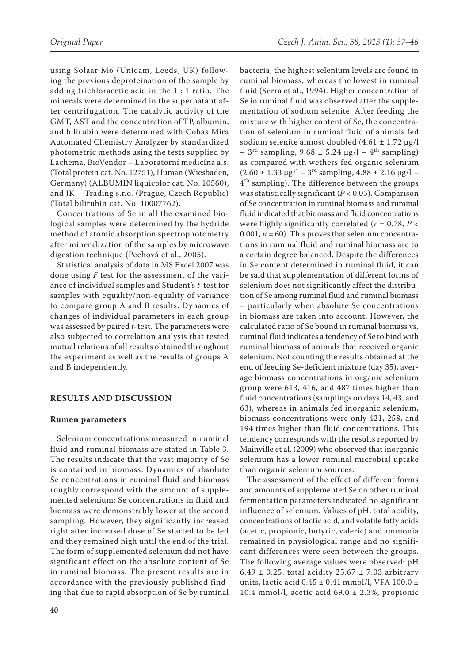using Solaar M6 (Unicam, Leeds, UK) following the previous deproteination of the sample by adding trichloracetic acid in the 1 : 1 ratio. The minerals were determined in the supernatant after centrifugation. The catalytic activity of the GMT, AST and the concentration of TP, albumin, and bilirubin were determined with Cobas Mira Automated Chemistry Analyzer by standardized photometric methods using the tests supplied by Lachema, BioVendor – Laboratorní medicína a.s. (Total protein cat. No. 12751), Human (Wiesbaden, Germany) (ALBUMIN liquicolor cat. No. 10560), and JK – Trading s.r.o. (Prague, Czech Republic) (Total bilirubin cat. No. 10007762).

Concentrations of Se in all the examined biological samples were determined by the hydride method of atomic absorption spectrophotometry after mineralization of the samples by microwave digestion technique (Pechová et al., 2005).

Statistical analysis of data in MS Excel 2007 was done using *F* test for the assessment of the variance of individual samples and Student's *t*-test for samples with equality/non-equality of variance to compare group A and B results. Dynamics of changes of individual parameters in each group was assessed by paired *t*-test. The parameters were also subjected to correlation analysis that tested mutual relations of all results obtained throughout the experiment as well as the results of groups A and B independently.

## **RESULTS AND DISCUSSION**

#### **Rumen parameters**

Selenium concentrations measured in ruminal fluid and ruminal biomass are stated in Table 3. The results indicate that the vast majority of Se is contained in biomass. Dynamics of absolute Se concentrations in ruminal fluid and biomass roughly correspond with the amount of supplemented selenium: Se concentrations in fluid and biomass were demonstrably lower at the second sampling. However, they significantly increased right after increased dose of Se started to be fed and they remained high until the end of the trial. The form of supplemented selenium did not have significant effect on the absolute content of Se in ruminal biomass. The present results are in accordance with the previously published finding that due to rapid absorption of Se by ruminal

bacteria, the highest selenium levels are found in ruminal biomass, whereas the lowest in ruminal fluid (Serra et al., 1994). Higher concentration of Se in ruminal fluid was observed after the supplementation of sodium selenite. After feeding the mixture with higher content of Se, the concentration of selenium in ruminal fluid of animals fed sodium selenite almost doubled  $(4.61 \pm 1.72 \,\mu g/l)$  $-3<sup>rd</sup>$  sampling, 9.68  $\pm$  5.24  $\mu$ g/l  $-4<sup>th</sup>$  sampling) as compared with wethers fed organic selenium  $(2.60 \pm 1.33 \,\mu g/l - 3^{rd} \,\text{sampling}, \, 4.88 \pm 2.16 \,\mu g/l -$ 4<sup>th</sup> sampling). The difference between the groups was statistically significant (*P* < 0.05). Comparison of Se concentration in ruminal biomass and ruminal fluid indicated that biomass and fluid concentrations were highly significantly correlated (*r* = 0.78, *P* < 0.001,  $n = 60$ ). This proves that selenium concentrations in ruminal fluid and ruminal biomass are to a certain degree balanced. Despite the differences in Se content determined in ruminal fluid, it can be said that supplementation of different forms of selenium does not significantly affect the distribution of Se among ruminal fluid and ruminal biomass – particularly when absolute Se concentrations in biomass are taken into account. However, the calculated ratio of Se bound in ruminal biomass vs. ruminal fluid indicates a tendency of Se to bind with ruminal biomass of animals that received organic selenium. Not counting the results obtained at the end of feeding Se-deficient mixture (day 35), average biomass concentrations in organic selenium group were 613, 416, and 487 times higher than fluid concentrations (samplings on days 14, 43, and 63), whereas in animals fed inorganic selenium, biomass concentrations were only 421, 258, and 194 times higher than fluid concentrations. This tendency corresponds with the results reported by Mainville et al. (2009) who observed that inorganic selenium has a lower ruminal microbial uptake than organic selenium sources.

The assessment of the effect of different forms and amounts of supplemented Se on other ruminal fermentation parameters indicated no significant influence of selenium. Values of pH, total acidity, concentrations of lactic acid, and volatile fatty acids (acetic, propionic, butyric, valeric) and ammonia remained in physiological range and no significant differences were seen between the groups. The following average values were observed: pH 6.49  $\pm$  0.25, total acidity 25.67  $\pm$  7.03 arbitrary units, lactic acid  $0.45 \pm 0.41$  mmol/l, VFA 100.0  $\pm$ 10.4 mmol/l, acetic acid 69.0  $\pm$  2.3%, propionic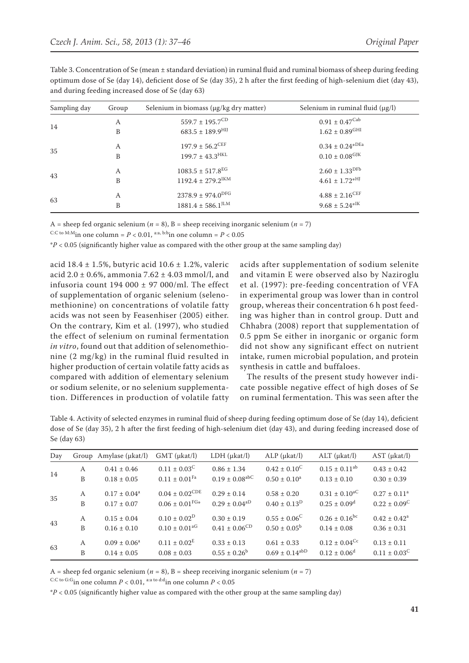| Sampling day | Group | Selenium in biomass (µg/kg dry matter) | Selenium in ruminal fluid $(\mu g/l)$ |
|--------------|-------|----------------------------------------|---------------------------------------|
|              | A     | $559.7 \pm 195.7^{\text{CD}}$          | $0.91 \pm 0.47^{\text{Cab}}$          |
| 14           | B     | $683.5 \pm 189.9^{\rm HIJ}$            | $1.62 \pm 0.89^{\rm GHI}$             |
|              | A     | $197.9 \pm 56.2^{\text{CEF}}$          | $0.34 \pm 0.24 {}^{*{{\rm DEa}}}$     |
| 35           | B     | $199.7 \pm 43.3^{\rm HKL}$             | $0.10 \pm 0.08^{\rm GJK}$             |
|              | A     | $1083.5 \pm 517.8$ <sup>EG</sup>       | $2.60 \pm 1.33^{\rm DFb}$             |
| 43           | B     | $1192.4 \pm 279.2$ <sup>IKM</sup>      | $4.61 \pm 1.72$ <sup>*HJ</sup>        |
|              | A     | $2378.9 \pm 974.0^{DFG}$               | $4.88 \pm 2.16^{\text{CEF}}$          |
| 63           | B     | $1881.4 \pm 586.1$ <sup>JLM</sup>      | $9.68 \pm 5.24$ <sup>*IK</sup>        |

Table 3. Concentration of Se (mean ± standard deviation) in ruminal fluid and ruminal biomass of sheep during feeding optimum dose of Se (day 14), deficient dose of Se (day 35), 2 h after the first feeding of high-selenium diet (day 43), and during feeding increased dose of Se (day 63)

A = sheep fed organic selenium ( $n = 8$ ), B = sheep receiving inorganic selenium ( $n = 7$ )

C:C to M:M<sub>in</sub> one column =  $P < 0.01$ , a:a, b:b<sub>in</sub> one column =  $P < 0.05$ 

\**P* < 0.05 (significantly higher value as compared with the other group at the same sampling day)

acid  $18.4 \pm 1.5$ %, butyric acid  $10.6 \pm 1.2$ %, valeric acid  $2.0 \pm 0.6$ %, ammonia  $7.62 \pm 4.03$  mmol/l, and infusoria count 194 000  $\pm$  97 000/ml. The effect of supplementation of organic selenium (selenomethionine) on concentrations of volatile fatty acids was not seen by Feasenhiser (2005) either. On the contrary, Kim et al. (1997), who studied the effect of selenium on ruminal fermentation *in vitro*, found out that addition of selenomethionine (2 mg/kg) in the ruminal fluid resulted in higher production of certain volatile fatty acids as compared with addition of elementary selenium or sodium selenite, or no selenium supplementation. Differences in production of volatile fatty acids after supplementation of sodium selenite and vitamin E were observed also by Naziroglu et al. (1997): pre-feeding concentration of VFA in experimental group was lower than in control group, whereas their concentration 6 h post feeding was higher than in control group. Dutt and Chhabra (2008) report that supplementation of 0.5 ppm Se either in inorganic or organic form did not show any significant effect on nutrient intake, rumen microbial population, and protein synthesis in cattle and buffaloes.

The results of the present study however indicate possible negative effect of high doses of Se on ruminal fermentation. This was seen after the

Table 4. Activity of selected enzymes in ruminal fluid of sheep during feeding optimum dose of Se (day 14), deficient dose of Se (day 35), 2 h after the first feeding of high-selenium diet (day 43), and during feeding increased dose of Se (day 63)

| Day |   | Group Amylase (µkat/l) | $GMT$ ( $\mu$ kat/l)          | LDH (ukat/l)             | $ALP$ ( $\mu$ kat/l)    | $ALT$ ( $\mu$ kat/l)          | $AST$ ( $\mu$ kat/l)    |
|-----|---|------------------------|-------------------------------|--------------------------|-------------------------|-------------------------------|-------------------------|
| 14  | A | $0.41 \pm 0.46$        | $0.11 \pm 0.03^C$             | $0.86 \pm 1.34$          | $0.42 \pm 0.10^{\circ}$ | $0.15 \pm 0.11^{ab}$          | $0.43 \pm 0.42$         |
|     | B | $0.18 \pm 0.05$        | $0.11 \pm 0.01$ <sup>Fa</sup> | $0.19 \pm 0.08^{abc}$    | $0.50 \pm 0.10^a$       | $0.13 \pm 0.10$               | $0.30 \pm 0.39$         |
| 35  | A | $0.17 \pm 0.04^a$      | $0.04 \pm 0.02^{\text{CDE}}$  | $0.29 \pm 0.14$          | $0.58 \pm 0.20$         | $0.31 \pm 0.10$ <sup>aC</sup> | $0.27 \pm 0.11^a$       |
|     | B | $0.17 \pm 0.07$        | $0.06 \pm 0.01^{\text{FG}*}$  | $0.29 \pm 0.04^{aD}$     | $0.40 \pm 0.13^D$       | $0.25 \pm 0.09$ <sup>d</sup>  | $0.22 \pm 0.09^{\circ}$ |
| 43  | A | $0.15 \pm 0.04$        | $0.10 \pm 0.02^D$             | $0.30 \pm 0.19$          | $0.55 \pm 0.06^{\circ}$ | $0.26 \pm 0.16^{bc}$          | $0.42 \pm 0.42^a$       |
|     | B | $0.16 \pm 0.10$        | $0.10 \pm 0.01$ <sup>aG</sup> | $0.41 \pm 0.06^{\rm CD}$ | $0.50 \pm 0.05^{\rm b}$ | $0.14 \pm 0.08$               | $0.36 \pm 0.31$         |
| 63  | A | $0.09 \pm 0.06^a$      | $0.11 \pm 0.02^E$             | $0.33 \pm 0.13$          | $0.61 \pm 0.33$         | $0.12 \pm 0.04$ <sup>Cc</sup> | $0.13 \pm 0.11$         |
|     | B | $0.14 \pm 0.05$        | $0.08 \pm 0.03$               | $0.55 \pm 0.26^{\rm b}$  | $0.69 \pm 0.14^{abD}$   | $0.12 \pm 0.06^d$             | $0.11 \pm 0.03^{\circ}$ |

A = sheep fed organic selenium ( $n = 8$ ), B = sheep receiving inorganic selenium ( $n = 7$ )

C:C to G:G<sub>in</sub> one column  $P < 0.01$ , a:a to d:d<sub>in</sub> one column  $P < 0.05$ 

\**P* < 0.05 (significantly higher value as compared with the other group at the same sampling day)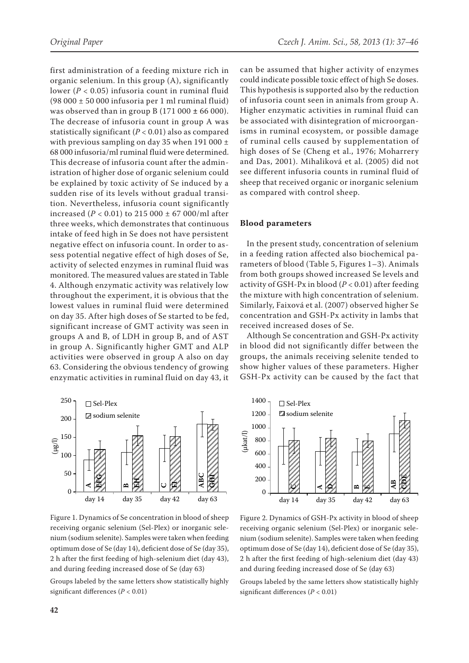first administration of a feeding mixture rich in organic selenium. In this group (A), significantly lower (*P* < 0.05) infusoria count in ruminal fluid  $(98000 \pm 50000)$  infusoria per 1 ml ruminal fluid) was observed than in group B (171 000 **±** 66 000). The decrease of infusoria count in group A was statistically significant (*P* < 0.01) also as compared with previous sampling on day 35 when 191 000  $\pm$ 68 000 infusoria/ml ruminal fluid were determined. This decrease of infusoria count after the administration of higher dose of organic selenium could be explained by toxic activity of Se induced by a sudden rise of its levels without gradual transition. Nevertheless, infusoria count significantly increased ( $P < 0.01$ ) to 215 000  $\pm$  67 000/ml after three weeks, which demonstrates that continuous intake of feed high in Se does not have persistent negative effect on infusoria count. In order to assess potential negative effect of high doses of Se, activity of selected enzymes in ruminal fluid was monitored. The measured values are stated in Table 4. Although enzymatic activity was relatively low throughout the experiment, it is obvious that the lowest values in ruminal fluid were determined on day 35. After high doses of Se started to be fed, significant increase of GMT activity was seen in groups A and B, of LDH in group B, and of AST in group A. Significantly higher GMT and ALP activities were observed in group A also on day 63. Considering the obvious tendency of growing enzymatic activities in ruminal fluid on day 43, it



Figure 1. Dynamics of Se concentration in blood of sheep receiving organic selenium (Sel-Plex) or inorganic selenium (sodium selenite). Samples were taken when feeding optimum dose of Se (day 14), deficient dose of Se (day 35), 2 h after the first feeding of high-selenium diet (day 43), and during feeding increased dose of Se (day 63)

Groups labeled by the same letters show statistically highly significant differences (*P* < 0.01)

can be assumed that higher activity of enzymes could indicate possible toxic effect of high Se doses. This hypothesis is supported also by the reduction of infusoria count seen in animals from group A. Higher enzymatic activities in ruminal fluid can be associated with disintegration of microorganisms in ruminal ecosystem, or possible damage of ruminal cells caused by supplementation of high doses of Se (Cheng et al., 1976; Moharrery and Das, 2001). Mihaliková et al. (2005) did not see different infusoria counts in ruminal fluid of sheep that received organic or inorganic selenium as compared with control sheep.

### **Blood parameters**

In the present study, concentration of selenium in a feeding ration affected also biochemical parameters of blood (Table 5, Figures 1–3). Animals from both groups showed increased Se levels and activity of GSH-Px in blood  $(P < 0.01)$  after feeding the mixture with high concentration of selenium. Similarly, Faixová et al. (2007) observed higher Se concentration and GSH-Px activity in lambs that received increased doses of Se.

Although Se concentration and GSH-Px activity in blood did not significantly differ between the groups, the animals receiving selenite tended to show higher values of these parameters. Higher GSH-Px activity can be caused by the fact that



Figure 2. Dynamics of GSH-Px activity in blood of sheep receiving organic selenium (Sel-Plex) or inorganic selenium (sodium selenite). Samples were taken when feeding optimum dose of Se (day 14), deficient dose of Se (day 35), 2 h after the first feeding of high-selenium diet (day 43) and during feeding increased dose of Se (day 63)

Groups labeled by the same letters show statistically highly significant differences (*P* < 0.01)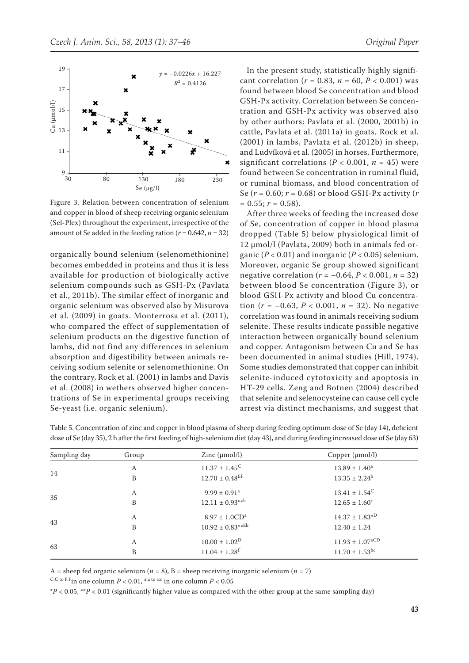

Figure 3. Relation between concentration of selenium and copper in blood of sheep receiving organic selenium (Sel-Plex) throughout the experiment, irrespective of the

organically bound selenium (selenomethionine) becomes embedded in proteins and thus it is less available for production of biologically active selenium compounds such as GSH-Px (Pavlata et al., 2011b). The similar effect of inorganic and organic selenium was observed also by Misurova et al. (2009) in goats. Monterrosa et al. (2011), who compared the effect of supplementation of selenium products on the digestive function of lambs, did not find any differences in selenium absorption and digestibility between animals receiving sodium selenite or selenomethionine. On the contrary, Rock et al. (2001) in lambs and Davis et al. (2008) in wethers observed higher concentrations of Se in experimental groups receiving Se-yeast (i.e. organic selenium).

In the present study, statistically highly significant correlation ( $r = 0.83$ ,  $n = 60$ ,  $P < 0.001$ ) was found between blood Se concentration and blood GSH-Px activity. Correlation between Se concentration and GSH-Px activity was observed also by other authors: Pavlata et al. (2000, 2001b) in cattle, Pavlata et al. (2011a) in goats, Rock et al. (2001) in lambs, Pavlata et al. (2012b) in sheep, and Ludvíková et al. (2005) in horses. Furthermore, significant correlations ( $P < 0.001$ ,  $n = 45$ ) were found between Se concentration in ruminal fluid, or ruminal biomass, and blood concentration of Se (*r* = 0.60; *r* = 0.68) or blood GSH-Px activity (*r*  $= 0.55; r = 0.58$ .

After three weeks of feeding the increased dose of Se, concentration of copper in blood plasma dropped (Table 5) below physiological limit of 12 µmol/l (Pavlata, 2009) both in animals fed organic ( $P < 0.01$ ) and inorganic ( $P < 0.05$ ) selenium. Moreover, organic Se group showed significant negative correlation (*r* = –0.64, *P* < 0.001, *n* = 32) between blood Se concentration (Figure 3), or blood GSH-Px activity and blood Cu concentration ( $r = -0.63$ ,  $P < 0.001$ ,  $n = 32$ ). No negative correlation was found in animals receiving sodium selenite. These results indicate possible negative interaction between organically bound selenium and copper. Antagonism between Cu and Se has been documented in animal studies (Hill, 1974). Some studies demonstrated that copper can inhibit selenite-induced cytotoxicity and apoptosis in HT-29 cells. Zeng and Botnen (2004) described that selenite and selenocysteine can cause cell cycle arrest via distinct mechanisms, and suggest that

| Sampling day | Group | $\text{Zinc}$ ( $\mu \text{mol/l}$ ) | Copper (µmol/l)                |
|--------------|-------|--------------------------------------|--------------------------------|
|              | A     | $11.37 \pm 1.45^C$                   | $13.89 \pm 1.40^a$             |
| 14           | B     | $12.70 \pm 0.48$ <sup>EF</sup>       | $13.35 \pm 2.24^b$             |
|              | A     | $9.99 \pm 0.91$ <sup>a</sup>         | $13.41 \pm 1.54^C$             |
| 35           | B     | $12.11 \pm 0.93***$                  | $12.65 \pm 1.60^{\circ}$       |
|              | A     | $8.97 \pm 1.0CD^{a}$                 | $14.37 \pm 1.83^{*D}$          |
| 43           | B     | $10.92 \pm 0.83^{**EB}$              | $12.40 \pm 1.24$               |
|              | A     | $10.00 \pm 1.02^D$                   | $11.93 \pm 1.07^{\rm aCD}$     |
| 63           | B     | $11.04 \pm 1.28$ <sup>F</sup>        | $11.70 \pm 1.53$ <sup>bc</sup> |

Table 5. Concentration of zinc and copper in blood plasma of sheep during feeding optimum dose of Se (day 14), deficient dose of Se (day 35), 2 h after the first feeding of high-selenium diet (day 43), and during feeding increased dose of Se (day 63)

A = sheep fed organic selenium ( $n = 8$ ), B = sheep receiving inorganic selenium ( $n = 7$ )

C:C to F:F<sub>in</sub> one column  $P < 0.01$ , a:a to c:c in one column  $P < 0.05$ 

\**P* < 0.05, \*\**P* < 0.01 (significantly higher value as compared with the other group at the same sampling day)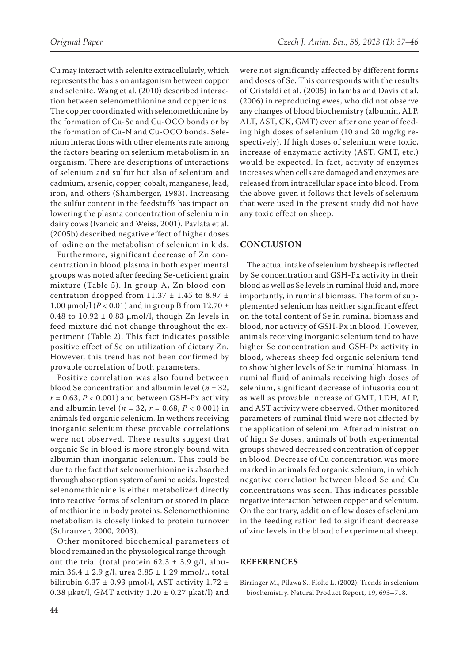Cu may interact with selenite extracellularly, which represents the basis on antagonism between copper and selenite. Wang et al. (2010) described interaction between selenomethionine and copper ions. The copper coordinated with selenomethionine by the formation of Cu-Se and Cu-OCO bonds or by the formation of Cu-N and Cu-OCO bonds. Selenium interactions with other elements rate among the factors bearing on selenium metabolism in an organism. There are descriptions of interactions of selenium and sulfur but also of selenium and cadmium, arsenic, copper, cobalt, manganese, lead, iron, and others (Shamberger, 1983). Increasing the sulfur content in the feedstuffs has impact on lowering the plasma concentration of selenium in dairy cows (Ivancic and Weiss, 2001). Pavlata et al. (2005b) described negative effect of higher doses of iodine on the metabolism of selenium in kids.

Furthermore, significant decrease of Zn concentration in blood plasma in both experimental groups was noted after feeding Se-deficient grain mixture (Table 5). In group A, Zn blood concentration dropped from  $11.37 \pm 1.45$  to 8.97  $\pm$ 1.00  $\mu$ mol/l (*P* < 0.01) and in group B from 12.70 ± 0.48 to  $10.92 \pm 0.83$  µmol/l, though Zn levels in feed mixture did not change throughout the experiment (Table 2). This fact indicates possible positive effect of Se on utilization of dietary Zn. However, this trend has not been confirmed by provable correlation of both parameters.

Positive correlation was also found between blood Se concentration and albumin level ( $n = 32$ ,  $r = 0.63$ ,  $P < 0.001$ ) and between GSH-Px activity and albumin level (*n* = 32, *r* = 0.68, *P* < 0.001) in animals fed organic selenium. In wethers receiving inorganic selenium these provable correlations were not observed. These results suggest that organic Se in blood is more strongly bound with albumin than inorganic selenium. This could be due to the fact that selenomethionine is absorbed through absorption system of amino acids. Ingested selenomethionine is either metabolized directly into reactive forms of selenium or stored in place of methionine in body proteins. Selenomethionine metabolism is closely linked to protein turnover (Schrauzer, 2000, 2003).

Other monitored biochemical parameters of blood remained in the physiological range throughout the trial (total protein  $62.3 \pm 3.9$  g/l, albumin 36.4 ± 2.9 g/l, urea 3.85 ± 1.29 mmol/l, total bilirubin 6.37  $\pm$  0.93 µmol/l, AST activity 1.72  $\pm$ 0.38  $\mu$ kat/l, GMT activity 1.20  $\pm$  0.27  $\mu$ kat/l) and

were not significantly affected by different forms and doses of Se. This corresponds with the results of Cristaldi et al. (2005) in lambs and Davis et al. (2006) in reproducing ewes, who did not observe any changes of blood biochemistry (albumin, ALP, ALT, AST, CK, GMT) even after one year of feeding high doses of selenium (10 and 20 mg/kg respectively). If high doses of selenium were toxic, increase of enzymatic activity (AST, GMT, etc.) would be expected. In fact, activity of enzymes increases when cells are damaged and enzymes are released from intracellular space into blood. From the above-given it follows that levels of selenium that were used in the present study did not have any toxic effect on sheep.

## **CONCLUSION**

The actual intake of selenium by sheep is reflected by Se concentration and GSH-Px activity in their blood as well as Se levels in ruminal fluid and, more importantly, in ruminal biomass. The form of supplemented selenium has neither significant effect on the total content of Se in ruminal biomass and blood, nor activity of GSH-Px in blood. However, animals receiving inorganic selenium tend to have higher Se concentration and GSH-Px activity in blood, whereas sheep fed organic selenium tend to show higher levels of Se in ruminal biomass. In ruminal fluid of animals receiving high doses of selenium, significant decrease of infusoria count as well as provable increase of GMT, LDH, ALP, and AST activity were observed. Other monitored parameters of ruminal fluid were not affected by the application of selenium. After administration of high Se doses, animals of both experimental groups showed decreased concentration of copper in blood. Decrease of Cu concentration was more marked in animals fed organic selenium, in which negative correlation between blood Se and Cu concentrations was seen. This indicates possible negative interaction between copper and selenium. On the contrary, addition of low doses of selenium in the feeding ration led to significant decrease of zinc levels in the blood of experimental sheep.

## **REFERENCES**

Birringer M., Pilawa S., Flohe L. (2002): Trends in selenium biochemistry. Natural Product Report, 19, 693–718.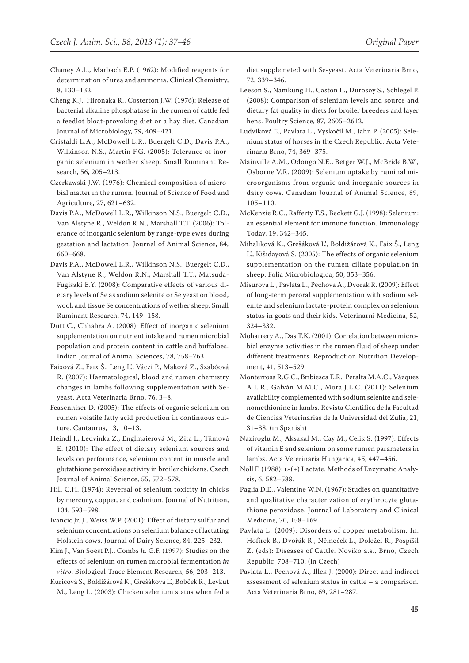- Chaney A.L., Marbach E.P. (1962): Modified reagents for determination of urea and ammonia. Clinical Chemistry, 8, 130–132.
- Cheng K.J., Hironaka R., Costerton J.W. (1976): Release of bacterial alkaline phosphatase in the rumen of cattle fed a feedlot bloat-provoking diet or a hay diet. Canadian Journal of Microbiology, 79, 409–421.
- Cristaldi L.A., McDowell L.R., Buergelt C.D., Davis P.A., Wilkinson N.S., Martin F.G. (2005): Tolerance of inorganic selenium in wether sheep. Small Ruminant Research, 56, 205–213.
- Czerkawski J.W. (1976): Chemical composition of microbial matter in the rumen. Journal of Science of Food and Agriculture, 27, 621–632.
- Davis P.A., McDowell L.R., Wilkinson N.S., Buergelt C.D., Van Alstyne R., Weldon R.N., Marshall T.T. (2006): Tolerance of inorganic selenium by range-type ewes during gestation and lactation. Journal of Animal Science, 84, 660–668.
- Davis P.A., McDowell L.R., Wilkinson N.S., Buergelt C.D., Van Alstyne R., Weldon R.N., Marshall T.T., Matsuda-Fugisaki E.Y. (2008): Comparative effects of various dietary levels of Se as sodium selenite or Se yeast on blood, wool, and tissue Se concentrations of wether sheep. Small Ruminant Research, 74, 149–158.
- Dutt C., Chhabra A. (2008): Effect of inorganic selenium supplementation on nutrient intake and rumen microbial population and protein content in cattle and buffaloes. Indian Journal of Animal Sciences, 78, 758–763.
- Faixová Z., Faix Š., Leng L'., Váczi P., Maková Z., Szabóová R. (2007): Haematological, blood and rumen chemistry changes in lambs following supplementation with Seyeast. Acta Veterinaria Brno, 76, 3–8.
- Feasenhiser D. (2005): The effects of organic selenium on rumen volatile fatty acid production in continuous culture. Cantaurus, 13, 10–13.
- Heindl J., Ledvinka Z., Englmaierová M., Zita L., Tůmová E. (2010): The effect of dietary selenium sources and levels on performance, selenium content in muscle and glutathione peroxidase activity in broiler chickens. Czech Journal of Animal Science, 55, 572–578.
- Hill C.H. (1974): Reversal of selenium toxicity in chicks by mercury, copper, and cadmium. Journal of Nutrition, 104, 593–598.
- Ivancic Jr. J., Weiss W.P. (2001): Effect of dietary sulfur and selenium concentrations on selenium balance of lactating Holstein cows. Journal of Dairy Science, 84, 225–232.
- Kim J., Van Soest P.J., Combs Jr. G.F. (1997): Studies on the effects of selenium on rumen microbial fermentation *in vitro*. Biological Trace Element Research, 56, 203–213.
- Kuricová S., Boldižárová K., Grešáková L'., Bobček R., Levkut M., Leng L. (2003): Chicken selenium status when fed a

diet supplemeted with Se-yeast. Acta Veterinaria Brno, 72, 339–346.

- Leeson S., Namkung H., Caston L., Durosoy S., Schlegel P. (2008): Comparison of selenium levels and source and dietary fat quality in diets for broiler breeders and layer hens. Poultry Science, 87, 2605–2612.
- Ludvíková E., Pavlata L., Vyskočil M., Jahn P. (2005): Selenium status of horses in the Czech Republic. Acta Veterinaria Brno, 74, 369–375.
- Mainville A.M., Odongo N.E., Betger W.J., McBride B.W., Osborne V.R. (2009): Selenium uptake by ruminal microorganisms from organic and inorganic sources in dairy cows. Canadian Journal of Animal Science, 89, 105–110.
- McKenzie R.C., Rafferty T.S., Beckett G.J. (1998): Selenium: an essential element for immune function. Immunology Today, 19, 342–345.
- Mihaliková K., Grešáková L'., Boldižárová K., Faix Š., Leng L'., Kišidayová S. (2005): The effects of organic selenium supplementation on the rumen ciliate population in sheep. Folia Microbiologica, 50, 353–356.
- Misurova L., Pavlata L., Pechova A., Dvorak R. (2009): Effect of long-term peroral supplementation with sodium selenite and selenium lactate-protein complex on selenium status in goats and their kids. Veterinarni Medicina, 52, 324–332.
- Moharrery A., Das T.K. (2001): Correlation between microbial enzyme activities in the rumen fluid of sheep under different treatments. Reproduction Nutrition Development, 41, 513–529.
- Monterrosa R.G.C., Bribiesca E.R., Peralta M.A.C., Vázques A.L.R., Galván M.M.C., Mora J.L.C. (2011): Selenium availability complemented with sodium selenite and selenomethionine in lambs. Revista Cientifica de la Facultad de Ciencias Veterinarias de la Universidad del Zulia, 21, 31–38. (in Spanish)
- Naziroglu M., Aksakal M., Cay M., Celik S. (1997): Effects of vitamin E and selenium on some rumen parameters in lambs. Acta Veterinaria Hungarica, 45, 447–456.
- Noll F. (1988): l-(+) Lactate. Methods of Enzymatic Analysis, 6, 582–588.
- Paglia D.E., Valentine W.N. (1967): Studies on quantitative and qualitative characterization of erythrocyte glutathione peroxidase. Journal of Laboratory and Clinical Medicine, 70, 158–169.
- Pavlata L. (2009): Disorders of copper metabolism. In: Hofírek B., Dvořák R., Němeček L., Doležel R., Pospíšil Z. (eds): Diseases of Cattle. Noviko a.s., Brno, Czech Republic, 708–710. (in Czech)
- Pavlata L., Pechová A., Illek J. (2000): Direct and indirect assessment of selenium status in cattle – a comparison. Acta Veterinaria Brno, 69, 281–287.